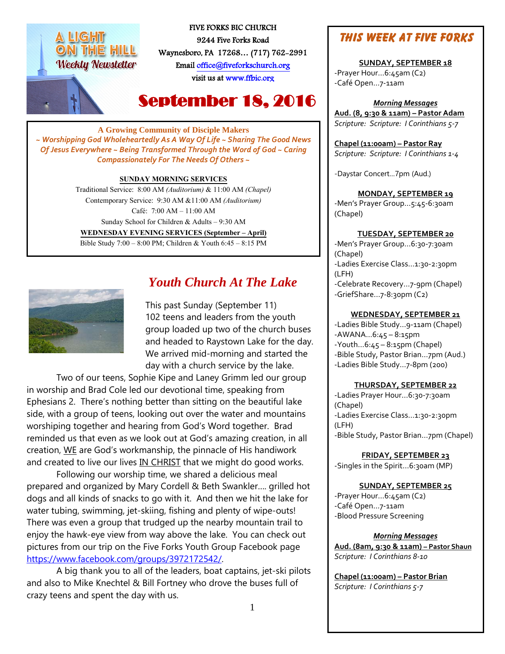# ON THE HILL **Weekly Newsletter**



FIVE FORKS BIC CHURCH 9244 Five Forks Road Waynesboro, PA 17268… (717) 762-2991 Emai[l office@fiveforkschurch.org](mailto:office@fiveforkschurch.org)  visit us a[t www.ffbic.org](http://www.ffbic.org/) 

# September 18, 2016

**A Growing Community of Disciple Makers** *~ Worshipping God Wholeheartedly As A Way Of Life ~ Sharing The Good News Of Jesus Everywhere ~ Being Transformed Through the Word of God ~ Caring Compassionately For The Needs Of Others ~*

#### **SUNDAY MORNING SERVICES**

Traditional Service: 8:00 AM *(Auditorium)* & 11:00 AM *(Chapel)* Contemporary Service: 9:30 AM &11:00 AM *(Auditorium)* Café: 7:00 AM – 11:00 AM Sunday School for Children & Adults – 9:30 AM **WEDNESDAY EVENING SERVICES (September – April)** Bible Study 7:00 – 8:00 PM; Children & Youth 6:45 – 8:15 PM



## *Youth Church At The Lake*

This past Sunday (September 11) 102 teens and leaders from the youth group loaded up two of the church buses and headed to Raystown Lake for the day. We arrived mid-morning and started the day with a church service by the lake.

Two of our teens, Sophie Kipe and Laney Grimm led our group in worship and Brad Cole led our devotional time, speaking from Ephesians 2. There's nothing better than sitting on the beautiful lake side, with a group of teens, looking out over the water and mountains worshiping together and hearing from God's Word together. Brad reminded us that even as we look out at God's amazing creation, in all creation, WE are God's workmanship, the pinnacle of His handiwork and created to live our lives IN CHRIST that we might do good works.

Following our worship time, we shared a delicious meal prepared and organized by Mary Cordell & Beth Swankler…. grilled hot dogs and all kinds of snacks to go with it. And then we hit the lake for water tubing, swimming, jet-skiing, fishing and plenty of wipe-outs! There was even a group that trudged up the nearby mountain trail to enjoy the hawk-eye view from way above the lake. You can check out pictures from our trip on the Five Forks Youth Group Facebook page [https://www.facebook.com/groups/3972172542/.](https://www.facebook.com/groups/3972172542/)

A big thank you to all of the leaders, boat captains, jet-ski pilots and also to Mike Knechtel & Bill Fortney who drove the buses full of crazy teens and spent the day with us.

## **This Week at Five Forks**

**SUNDAY, SEPTEMBER 18** -Prayer Hour…6:45am (C2) -Café Open…7-11am

*Morning Messages* **Aud. (8, 9:30 & 11am) – Pastor Adam** *Scripture: Scripture: I Corinthians 5-7*

**Chapel (11:00am) – Pastor Ray** *Scripture: Scripture: I Corinthians 1-4*

-Daystar Concert…7pm (Aud.)

#### **MONDAY, SEPTEMBER 19**

-Men's Prayer Group…5:45-6:30am (Chapel)

#### **TUESDAY, SEPTEMBER 20**

-Men's Prayer Group…6:30-7:30am (Chapel) -Ladies Exercise Class…1:30-2:30pm (LFH) -Celebrate Recovery…7-9pm (Chapel) -GriefShare…7-8:30pm (C2)

#### **WEDNESDAY, SEPTEMBER 21**

-Ladies Bible Study…9-11am (Chapel) -AWANA…6:45 – 8:15pm -Youth…6:45 – 8:15pm (Chapel) -Bible Study, Pastor Brian…7pm (Aud.) -Ladies Bible Study…7-8pm (200)

#### **THURSDAY, SEPTEMBER 22**

-Ladies Prayer Hour…6:30-7:30am (Chapel) -Ladies Exercise Class…1:30-2:30pm (LFH) -Bible Study, Pastor Brian…7pm (Chapel)

**FRIDAY, SEPTEMBER 23** -Singles in the Spirit...6:30am (MP)

#### **SUNDAY, SEPTEMBER 25**

-Prayer Hour…6:45am (C2) -Café Open…7-11am -Blood Pressure Screening

*Morning Messages*

**Aud. (8am, 9:30 & 11am) – Pastor Shaun** *Scripture: I Corinthians 8-10*

**Chapel (11:00am) – Pastor Brian** *Scripture: I Corinthians 5-7*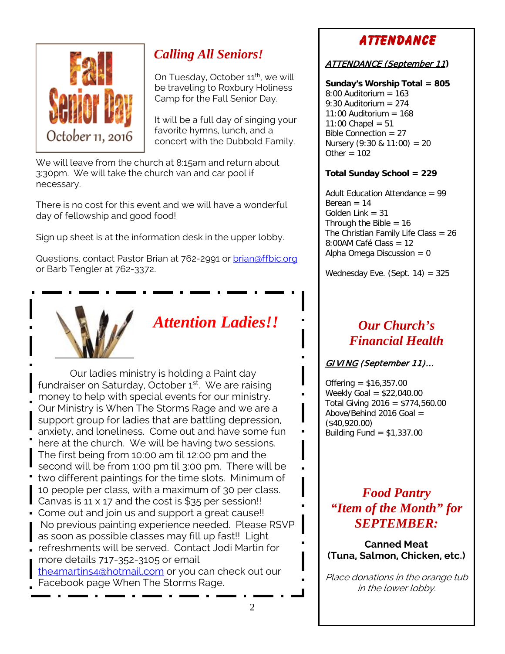

# *Calling All Seniors!*

On Tuesday, October 11<sup>th</sup>, we will be traveling to Roxbury Holiness Camp for the Fall Senior Day.

It will be a full day of singing your favorite hymns, lunch, and a concert with the Dubbold Family.

We will leave from the church at 8:15am and return about 3:30pm. We will take the church van and car pool if necessary.

There is no cost for this event and we will have a wonderful day of fellowship and good food!

Sign up sheet is at the information desk in the upper lobby.

Questions, contact Pastor Brian at 762-2991 or [brian@ffbic.org](mailto:brian@ffbic.org) or Barb Tengler at 762-3372.



# *Attention Ladies!!*

 Our ladies ministry is holding a Paint day fundraiser on Saturday, October 1<sup>st</sup>. We are raising money to help with special events for our ministry. Our Ministry is When The Storms Rage and we are a support group for ladies that are battling depression, anxiety, and loneliness. Come out and have some fun here at the church. We will be having two sessions. The first being from 10:00 am til 12:00 pm and the second will be from 1:00 pm til 3:00 pm. There will be two different paintings for the time slots. Minimum of 10 people per class, with a maximum of 30 per class. Canvas is 11 x 17 and the cost is  $$35$  per session!! Come out and join us and support a great cause!! No previous painting experience needed. Please RSVP as soon as possible classes may fill up fast!! Light refreshments will be served. Contact Jodi Martin for more details 717-352-3105 or email [the4martins4@hotmail.com](mailto:the4martins4@hotmail.com) or you can check out our

Facebook page When The Storms Rage.

# **Attendance**

#### ATTENDANCE (September 11**)**

**Sunday's Worship Total = 805**  $8:00$  Auditorium = 163 9:30 Auditorium  $= 274$  $11:00$  Auditorium =  $168$  $11:00$  Chapel =  $51$ Bible Connection = 27 Nursery  $(9:30 \& 11:00) = 20$ Other  $= 102$ 

#### **Total Sunday School = 229**

Adult Education Attendance  $= 99$ Berean  $= 14$ Golden Link = 31 Through the Bible  $= 16$ The Christian Family Life Class = 26 8:00AM Café Class = 12 Alpha Omega Discussion  $= 0$ 

Wednesday Eve. (Sept.  $14$ ) = 325

## *Our Church's Financial Health*

#### GIVING (September 11)…

Offering = \$16,357.00 Weekly Goal = \$22,040.00 Total Giving 2016 = \$774,560.00 Above/Behind 2016 Goal = (\$40,920.00) Building Fund  $=$  \$1,337.00

# *Food Pantry "Item of the Month" for SEPTEMBER:*

**Canned Meat (Tuna, Salmon, Chicken, etc.)**

Place donations in the orange tub in the lower lobby.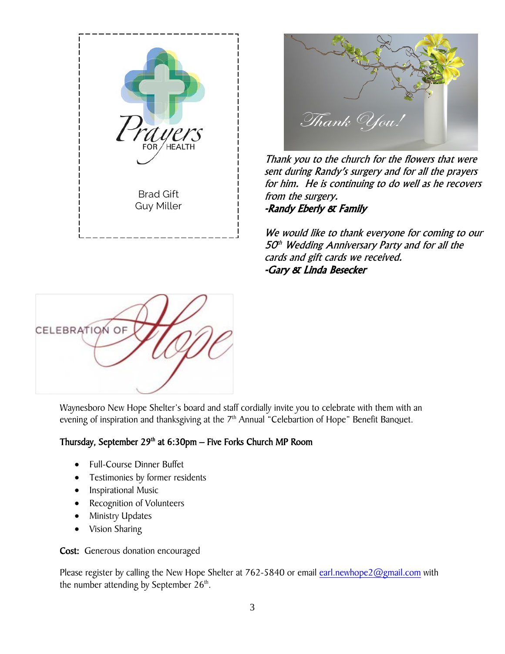



Thank you to the church for the flowers that were sent during Randy's surgery and for all the prayers for him. He is continuing to do well as he recovers from the surgery. -Randy Eberly & Family

We would like to thank everyone for coming to our  $50<sup>th</sup>$  Wedding Anniversary Party and for all the cards and gift cards we received. -Gary & Linda Besecker



Waynesboro New Hope Shelter's board and staff cordially invite you to celebrate with them with an evening of inspiration and thanksgiving at the 7<sup>th</sup> Annual "Celebartion of Hope" Benefit Banquet.

#### Thursday, September  $29<sup>th</sup>$  at  $6:30<sub>pm</sub>$  – Five Forks Church MP Room

- Full-Course Dinner Buffet
- Testimonies by former residents
- Inspirational Music
- Recognition of Volunteers
- Ministry Updates
- Vision Sharing

Cost: Generous donation encouraged

Please register by calling the New Hope Shelter at 762-5840 or email [earl.newhope2@gmail.com](mailto:earl.newhope2@gmail.com) with the number attending by September  $26<sup>th</sup>$ .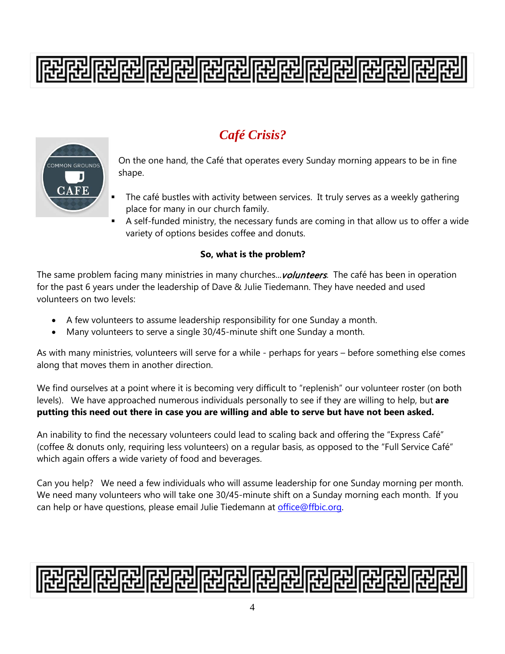# 

# *Café Crisis?*



On the one hand, the Café that operates every Sunday morning appears to be in fine shape.

- The café bustles with activity between services. It truly serves as a weekly gathering place for many in our church family.
- A self-funded ministry, the necessary funds are coming in that allow us to offer a wide variety of options besides coffee and donuts.

#### **So, what is the problem?**

The same problem facing many ministries in many churches... *volunteers*. The café has been in operation for the past 6 years under the leadership of Dave & Julie Tiedemann. They have needed and used volunteers on two levels:

- A few volunteers to assume leadership responsibility for one Sunday a month.
- Many volunteers to serve a single 30/45-minute shift one Sunday a month.

As with many ministries, volunteers will serve for a while - perhaps for years – before something else comes along that moves them in another direction.

We find ourselves at a point where it is becoming very difficult to "replenish" our volunteer roster (on both levels). We have approached numerous individuals personally to see if they are willing to help, but **are putting this need out there in case you are willing and able to serve but have not been asked.** 

An inability to find the necessary volunteers could lead to scaling back and offering the "Express Café" (coffee & donuts only, requiring less volunteers) on a regular basis, as opposed to the "Full Service Café" which again offers a wide variety of food and beverages.

Can you help? We need a few individuals who will assume leadership for one Sunday morning per month. We need many volunteers who will take one 30/45-minute shift on a Sunday morning each month. If you can help or have questions, please email Julie Tiedemann at [office@ffbic.org.](mailto:office@ffbic.org)

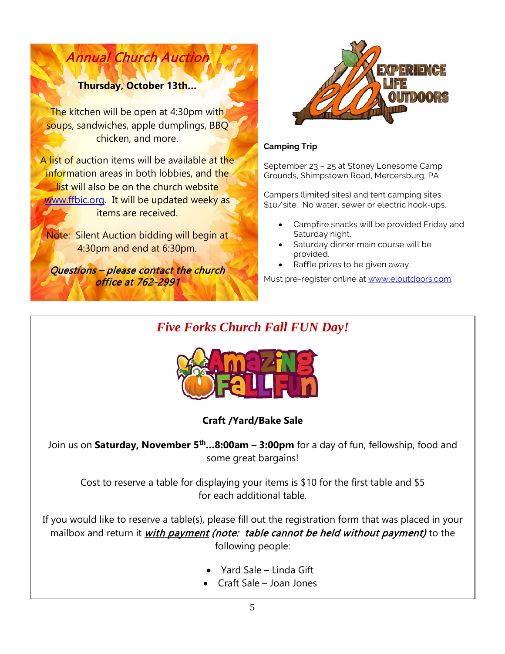### **Thursday, October 13th…**

Annual Church Auction

The kitchen will be open at 4:30pm with soups, sandwiches, apple dumplings, BBQ chicken, and more.

A list of auction items will be available at the information areas in both lobbies, and the list will also be on the church website [www.ffbic.org.](http://www.ffbic.org/) It will be updated weeky as items are received.

Note: Silent Auction bidding will begin at 4:30pm and end at 6:30pm.

Questions - please contact the church office at 762-2991



#### **Camping Trip**

September 23 – 25 at Stoney Lonesome Camp Grounds, Shimpstown Road, Mercersburg, PA

Campers (limited sites) and tent camping sites: \$10/site. No water, sewer or electric hook-ups.

- Campfire snacks will be provided Friday and Saturday night.
- Saturday dinner main course will be provided.
- Raffle prizes to be given away.

Must pre-register online a[t www.eloutdoors.com.](http://www.eloutdoors.com/)

# *Five Forks Church Fall FUN Day!*



**Craft /Yard/Bake Sale**

Join us on **Saturday, November 5th…8:00am – 3:00pm** for a day of fun, fellowship, food and some great bargains!

Cost to reserve a table for displaying your items is \$10 for the first table and \$5 for each additional table.

If you would like to reserve a table(s), please fill out the registration form that was placed in your mailbox and return it *with payment (note: table cannot be held without payment)* to the following people:

- Yard Sale Linda Gift
- Craft Sale Joan Jones